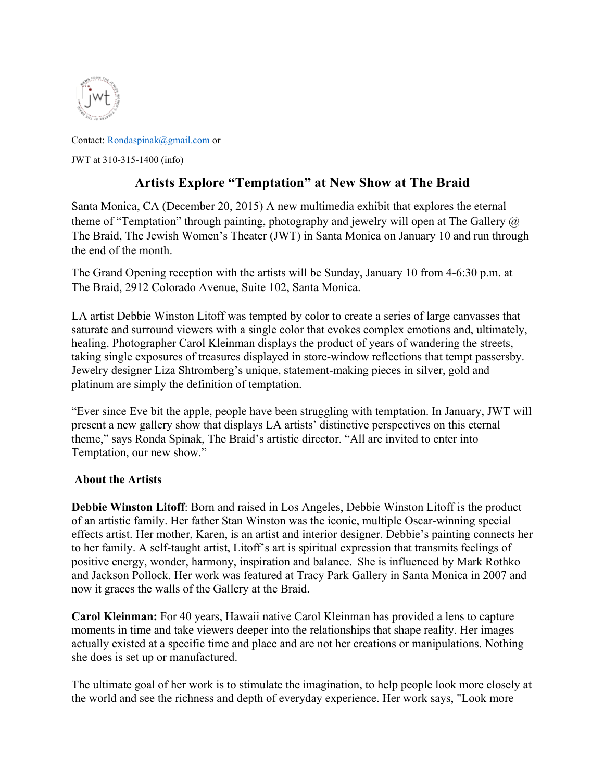

Contact: Rondaspinak@gmail.com or JWT at 310-315-1400 (info)

## **Artists Explore "Temptation" at New Show at The Braid**

Santa Monica, CA (December 20, 2015) A new multimedia exhibit that explores the eternal theme of "Temptation" through painting, photography and jewelry will open at The Gallery  $\omega$ The Braid, The Jewish Women's Theater (JWT) in Santa Monica on January 10 and run through the end of the month.

The Grand Opening reception with the artists will be Sunday, January 10 from 4-6:30 p.m. at The Braid, 2912 Colorado Avenue, Suite 102, Santa Monica.

LA artist Debbie Winston Litoff was tempted by color to create a series of large canvasses that saturate and surround viewers with a single color that evokes complex emotions and, ultimately, healing. Photographer Carol Kleinman displays the product of years of wandering the streets, taking single exposures of treasures displayed in store-window reflections that tempt passersby. Jewelry designer Liza Shtromberg's unique, statement-making pieces in silver, gold and platinum are simply the definition of temptation.

"Ever since Eve bit the apple, people have been struggling with temptation. In January, JWT will present a new gallery show that displays LA artists' distinctive perspectives on this eternal theme," says Ronda Spinak, The Braid's artistic director. "All are invited to enter into Temptation, our new show."

## **About the Artists**

**Debbie Winston Litoff**: Born and raised in Los Angeles, Debbie Winston Litoff is the product of an artistic family. Her father Stan Winston was the iconic, multiple Oscar-winning special effects artist. Her mother, Karen, is an artist and interior designer. Debbie's painting connects her to her family. A self-taught artist, Litoff's art is spiritual expression that transmits feelings of positive energy, wonder, harmony, inspiration and balance. She is influenced by Mark Rothko and Jackson Pollock. Her work was featured at Tracy Park Gallery in Santa Monica in 2007 and now it graces the walls of the Gallery at the Braid.

**Carol Kleinman:** For 40 years, Hawaii native Carol Kleinman has provided a lens to capture moments in time and take viewers deeper into the relationships that shape reality. Her images actually existed at a specific time and place and are not her creations or manipulations. Nothing she does is set up or manufactured.

The ultimate goal of her work is to stimulate the imagination, to help people look more closely at the world and see the richness and depth of everyday experience. Her work says, "Look more